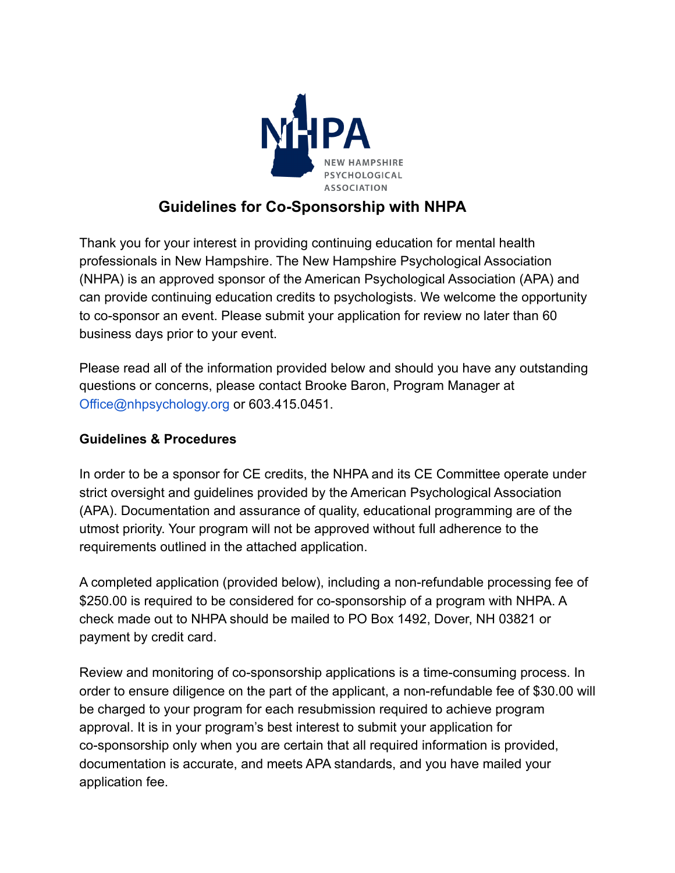

## **Guidelines for Co-Sponsorship with NHPA**

Thank you for your interest in providing continuing education for mental health professionals in New Hampshire. The New Hampshire Psychological Association (NHPA) is an approved sponsor of the American Psychological Association (APA) and can provide continuing education credits to psychologists. We welcome the opportunity to co-sponsor an event. Please submit your application for review no later than 60 business days prior to your event.

Please read all of the information provided below and should you have any outstanding questions or concerns, please contact Brooke Baron, Program Manager at Office@nhpsychology.org or 603.415.0451.

### **Guidelines & Procedures**

In order to be a sponsor for CE credits, the NHPA and its CE Committee operate under strict oversight and guidelines provided by the American Psychological Association (APA). Documentation and assurance of quality, educational programming are of the utmost priority. Your program will not be approved without full adherence to the requirements outlined in the attached application.

A completed application (provided below), including a non-refundable processing fee of \$250.00 is required to be considered for co-sponsorship of a program with NHPA. A check made out to NHPA should be mailed to PO Box 1492, Dover, NH 03821 or payment by credit card.

Review and monitoring of co-sponsorship applications is a time-consuming process. In order to ensure diligence on the part of the applicant, a non-refundable fee of \$30.00 will be charged to your program for each resubmission required to achieve program approval. It is in your program's best interest to submit your application for co-sponsorship only when you are certain that all required information is provided, documentation is accurate, and meets APA standards, and you have mailed your application fee.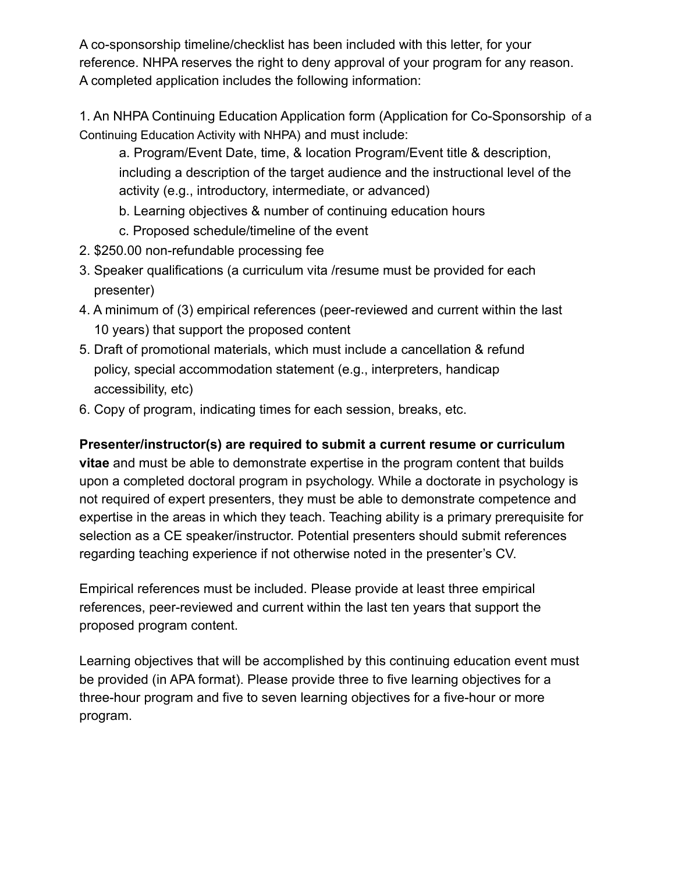A co-sponsorship timeline/checklist has been included with this letter, for your reference. NHPA reserves the right to deny approval of your program for any reason. A completed application includes the following information:

1. An NHPA Continuing Education Application form (Application for Co-Sponsorship of a Continuing Education Activity with NHPA) and must include:

a. Program/Event Date, time, & location Program/Event title & description, including a description of the target audience and the instructional level of the activity (e.g., introductory, intermediate, or advanced)

- b. Learning objectives & number of continuing education hours
- c. Proposed schedule/timeline of the event
- 2. \$250.00 non-refundable processing fee
- 3. Speaker qualifications (a curriculum vita /resume must be provided for each presenter)
- 4. A minimum of (3) empirical references (peer-reviewed and current within the last 10 years) that support the proposed content
- 5. Draft of promotional materials, which must include a cancellation & refund policy, special accommodation statement (e.g., interpreters, handicap accessibility, etc)
- 6. Copy of program, indicating times for each session, breaks, etc.

## **Presenter/instructor(s) are required to submit a current resume or curriculum**

**vitae** and must be able to demonstrate expertise in the program content that builds upon a completed doctoral program in psychology. While a doctorate in psychology is not required of expert presenters, they must be able to demonstrate competence and expertise in the areas in which they teach. Teaching ability is a primary prerequisite for selection as a CE speaker/instructor. Potential presenters should submit references regarding teaching experience if not otherwise noted in the presenter's CV.

Empirical references must be included. Please provide at least three empirical references, peer-reviewed and current within the last ten years that support the proposed program content.

Learning objectives that will be accomplished by this continuing education event must be provided (in APA format). Please provide three to five learning objectives for a three-hour program and five to seven learning objectives for a five-hour or more program.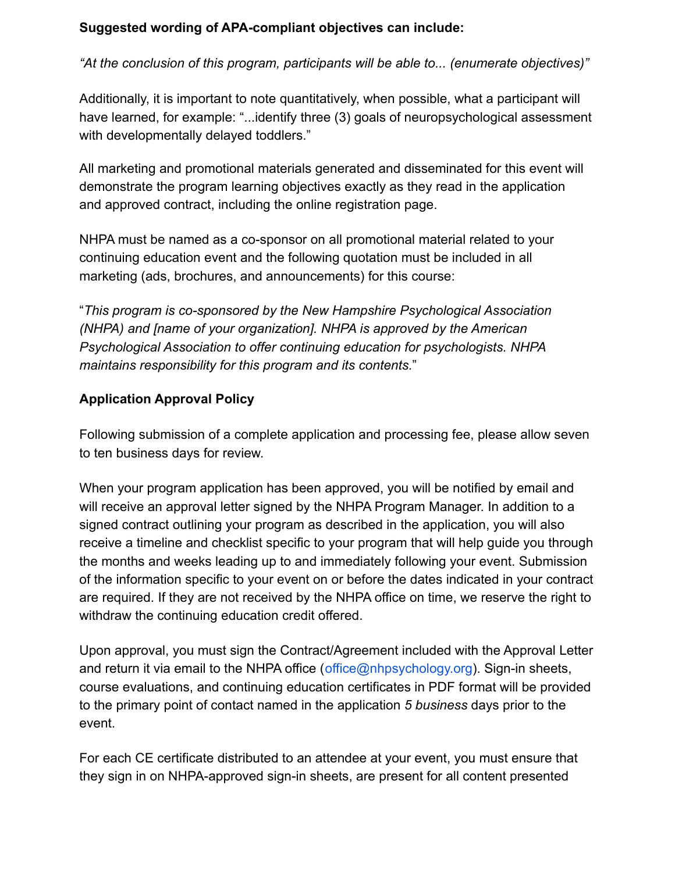### **Suggested wording of APA-compliant objectives can include:**

*"At the conclusion of this program, participants will be able to... (enumerate objectives)"*

Additionally, it is important to note quantitatively, when possible, what a participant will have learned, for example: "...identify three (3) goals of neuropsychological assessment with developmentally delayed toddlers."

All marketing and promotional materials generated and disseminated for this event will demonstrate the program learning objectives exactly as they read in the application and approved contract, including the online registration page.

NHPA must be named as a co-sponsor on all promotional material related to your continuing education event and the following quotation must be included in all marketing (ads, brochures, and announcements) for this course:

"*This program is co-sponsored by the New Hampshire Psychological Association (NHPA) and [name of your organization]. NHPA is approved by the American Psychological Association to offer continuing education for psychologists. NHPA maintains responsibility for this program and its contents.*"

## **Application Approval Policy**

Following submission of a complete application and processing fee, please allow seven to ten business days for review.

When your program application has been approved, you will be notified by email and will receive an approval letter signed by the NHPA Program Manager. In addition to a signed contract outlining your program as described in the application, you will also receive a timeline and checklist specific to your program that will help guide you through the months and weeks leading up to and immediately following your event. Submission of the information specific to your event on or before the dates indicated in your contract are required. If they are not received by the NHPA office on time, we reserve the right to withdraw the continuing education credit offered.

Upon approval, you must sign the Contract/Agreement included with the Approval Letter and return it via email to the NHPA office (office@nhpsychology.org). Sign-in sheets, course evaluations, and continuing education certificates in PDF format will be provided to the primary point of contact named in the application *5 business* days prior to the event.

For each CE certificate distributed to an attendee at your event, you must ensure that they sign in on NHPA-approved sign-in sheets, are present for all content presented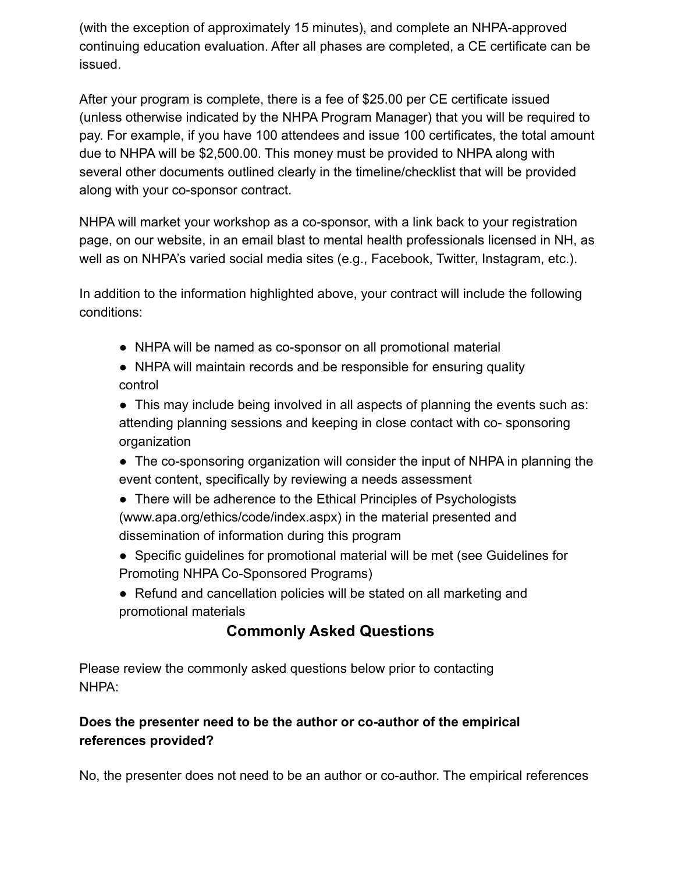(with the exception of approximately 15 minutes), and complete an NHPA-approved continuing education evaluation. After all phases are completed, a CE certificate can be issued.

After your program is complete, there is a fee of \$25.00 per CE certificate issued (unless otherwise indicated by the NHPA Program Manager) that you will be required to pay. For example, if you have 100 attendees and issue 100 certificates, the total amount due to NHPA will be \$2,500.00. This money must be provided to NHPA along with several other documents outlined clearly in the timeline/checklist that will be provided along with your co-sponsor contract.

NHPA will market your workshop as a co-sponsor, with a link back to your registration page, on our website, in an email blast to mental health professionals licensed in NH, as well as on NHPA's varied social media sites (e.g., Facebook, Twitter, Instagram, etc.).

In addition to the information highlighted above, your contract will include the following conditions:

- NHPA will be named as co-sponsor on all promotional material
- NHPA will maintain records and be responsible for ensuring quality control
- This may include being involved in all aspects of planning the events such as: attending planning sessions and keeping in close contact with co- sponsoring organization
- The co-sponsoring organization will consider the input of NHPA in planning the event content, specifically by reviewing a needs assessment
- There will be adherence to the Ethical Principles of Psychologists (www.apa.org/ethics/code/index.aspx) in the material presented and dissemination of information during this program
- Specific guidelines for promotional material will be met (see Guidelines for Promoting NHPA Co-Sponsored Programs)
- Refund and cancellation policies will be stated on all marketing and promotional materials

# **Commonly Asked Questions**

Please review the commonly asked questions below prior to contacting NHPA:

## **Does the presenter need to be the author or co-author of the empirical references provided?**

No, the presenter does not need to be an author or co-author. The empirical references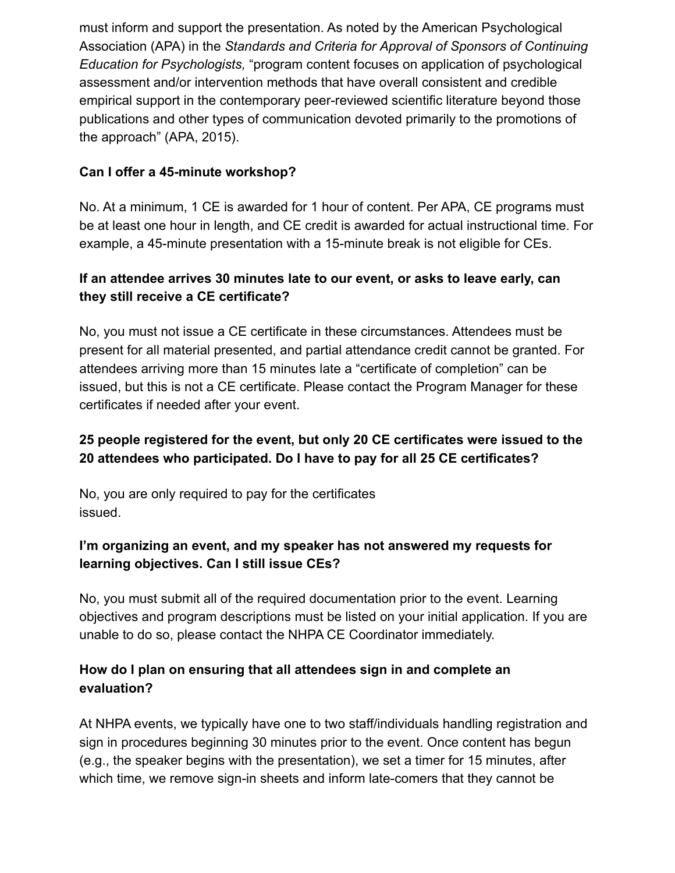must inform and support the presentation. As noted by the American Psychological Association (APA) in the *Standards and Criteria for Approval of Sponsors of Continuing Education for Psychologists,* "program content focuses on application of psychological assessment and/or intervention methods that have overall consistent and credible empirical support in the contemporary peer-reviewed scientific literature beyond those publications and other types of communication devoted primarily to the promotions of the approach" (APA, 2015).

### **Can I offer a 45-minute workshop?**

No. At a minimum, 1 CE is awarded for 1 hour of content. Per APA, CE programs must be at least one hour in length, and CE credit is awarded for actual instructional time. For example, a 45-minute presentation with a 15-minute break is not eligible for CEs.

### **If an attendee arrives 30 minutes late to our event, or asks to leave early, can they still receive a CE certificate?**

No, you must not issue a CE certificate in these circumstances. Attendees must be present for all material presented, and partial attendance credit cannot be granted. For attendees arriving more than 15 minutes late a "certificate of completion" can be issued, but this is not a CE certificate. Please contact the Program Manager for these certificates if needed after your event.

## **25 people registered for the event, but only 20 CE certificates were issued to the 20 attendees who participated. Do I have to pay for all 25 CE certificates?**

No, you are only required to pay for the certificates issued.

## **I'm organizing an event, and my speaker has not answered my requests for learning objectives. Can I still issue CEs?**

No, you must submit all of the required documentation prior to the event. Learning objectives and program descriptions must be listed on your initial application. If you are unable to do so, please contact the NHPA CE Coordinator immediately.

## **How do I plan on ensuring that all attendees sign in and complete an evaluation?**

At NHPA events, we typically have one to two staff/individuals handling registration and sign in procedures beginning 30 minutes prior to the event. Once content has begun (e.g., the speaker begins with the presentation), we set a timer for 15 minutes, after which time, we remove sign-in sheets and inform late-comers that they cannot be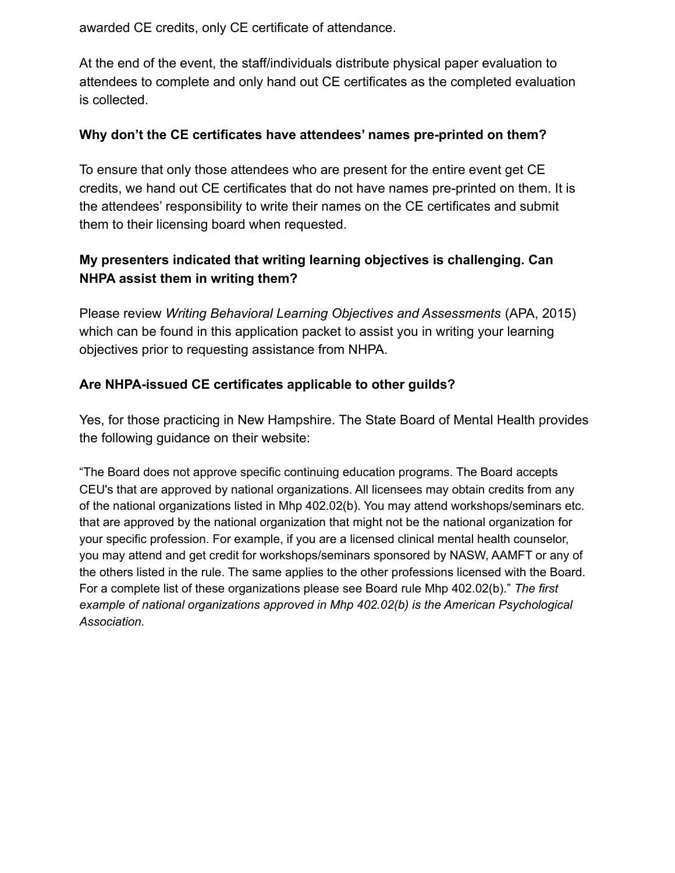awarded CE credits, only CE certificate of attendance.

At the end of the event, the staff/individuals distribute physical paper evaluation to attendees to complete and only hand out CE certificates as the completed evaluation is collected.

#### **Why don't the CE certificates have attendees' names pre-printed on them?**

To ensure that only those attendees who are present for the entire event get CE credits, we hand out CE certificates that do not have names pre-printed on them. It is the attendees' responsibility to write their names on the CE certificates and submit them to their licensing board when requested.

## **My presenters indicated that writing learning objectives is challenging. Can NHPA assist them in writing them?**

Please review *Writing Behavioral Learning Objectives and Assessments* (APA, 2015) which can be found in this application packet to assist you in writing your learning objectives prior to requesting assistance from NHPA.

### **Are NHPA-issued CE certificates applicable to other guilds?**

Yes, for those practicing in New Hampshire. The State Board of Mental Health provides the following guidance on their website:

"The Board does not approve specific continuing education programs. The Board accepts CEU's that are approved by national organizations. All licensees may obtain credits from any of the national organizations listed in Mhp 402.02(b). You may attend workshops/seminars etc. that are approved by the national organization that might not be the national organization for your specific profession. For example, if you are a licensed clinical mental health counselor, you may attend and get credit for workshops/seminars sponsored by NASW, AAMFT or any of the others listed in the rule. The same applies to the other professions licensed with the Board. For a complete list of these organizations please see Board rule Mhp 402.02(b)." *The first example of national organizations approved in Mhp 402.02(b) is the American Psychological Association.*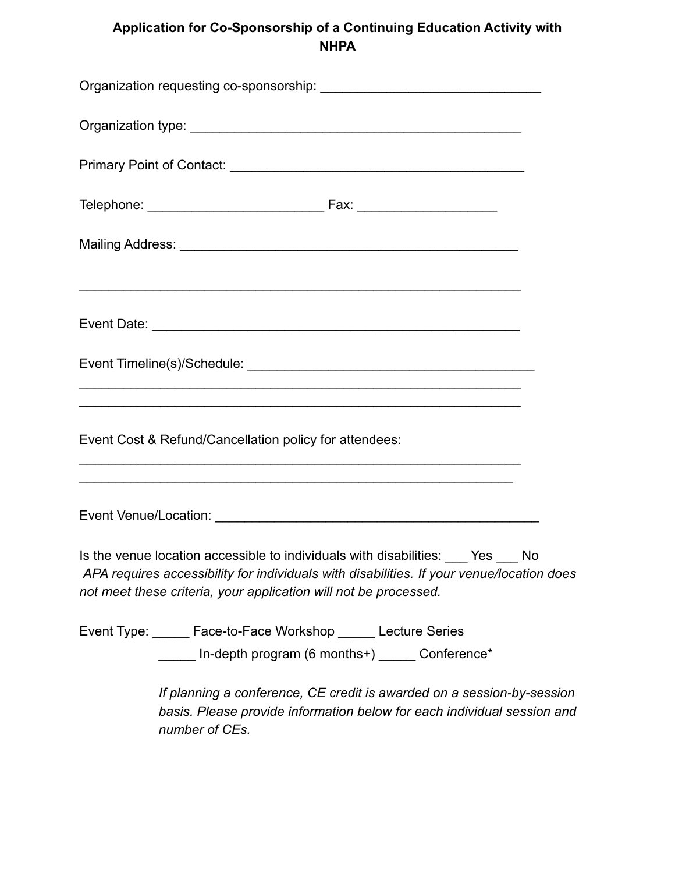## **Application for Co-Sponsorship of a Continuing Education Activity with NHPA**

| <u> 1989 - Johann Stoff, amerikansk politiker (d. 1989)</u>                                                                                                                                                                                           |  |
|-------------------------------------------------------------------------------------------------------------------------------------------------------------------------------------------------------------------------------------------------------|--|
|                                                                                                                                                                                                                                                       |  |
|                                                                                                                                                                                                                                                       |  |
| <u> 1989 - Jan James James Barnett, martin amerikan basar dan berasal dalam berasal dalam berasal dalam berasal d</u><br>,我们也不能在这里的时候,我们也不能在这里的时候,我们也不能会在这里,我们也不能会在这里的时候,我们也不能会在这里的时候,我们也不能会在这里的时候,我们也不能会                                             |  |
| Event Cost & Refund/Cancellation policy for attendees:                                                                                                                                                                                                |  |
| <u> 1989 - Johann Stoff, amerikansk politiker (d. 1989)</u>                                                                                                                                                                                           |  |
|                                                                                                                                                                                                                                                       |  |
| Is the venue location accessible to individuals with disabilities: \[State Yes \] No<br>APA requires accessibility for individuals with disabilities. If your venue/location does<br>not meet these criteria, your application will not be processed. |  |
| Event Type: _____ Face-to-Face Workshop _____ Lecture Series                                                                                                                                                                                          |  |
| ______ In-depth program (6 months+) ______ Conference*                                                                                                                                                                                                |  |
| If planning a conference, CE credit is awarded on a session-by-session<br>basis. Please provide information below for each individual session and<br>number of CEs.                                                                                   |  |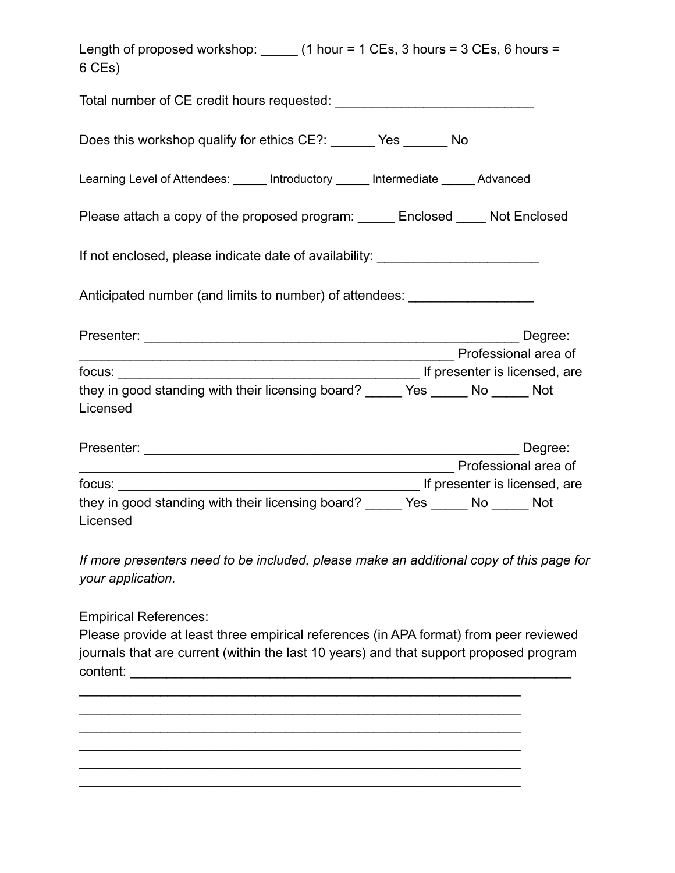| Length of proposed workshop: $(1$ hour = 1 CEs, 3 hours = 3 CEs, 6 hours =<br>6 CEs)                         |
|--------------------------------------------------------------------------------------------------------------|
|                                                                                                              |
| Does this workshop qualify for ethics CE?: _______ Yes _______ No                                            |
| Learning Level of Attendees: ______ Introductory ______ Intermediate ______ Advanced                         |
| Please attach a copy of the proposed program: _____ Enclosed ____ Not Enclosed                               |
| If not enclosed, please indicate date of availability: _________________________                             |
| Anticipated number (and limits to number) of attendees: ________________________                             |
| Degree:                                                                                                      |
| Professional area of                                                                                         |
| they in good standing with their licensing board? ______ Yes ______ No ______ Not<br>Licensed                |
|                                                                                                              |
| Professional area of                                                                                         |
|                                                                                                              |
| they in good standing with their licensing board? _____ Yes _____ No _____ Not<br>Licensed                   |
| If more presenters need to be included, please make an additional copy of this page for<br>your application. |
| <b>Empirical References:</b>                                                                                 |

Please provide at least three empirical references (in APA format) from peer reviewed journals that are current (within the last 10 years) and that support proposed program content: \_\_\_\_\_\_\_\_\_\_\_\_\_\_\_\_\_\_\_\_\_\_\_\_\_\_\_\_\_\_\_\_\_\_\_\_\_\_\_\_\_\_\_\_\_\_\_\_\_\_\_\_\_\_\_\_\_\_\_\_

 $\mathcal{L}_\text{max} = \mathcal{L}_\text{max} = \mathcal{L}_\text{max} = \mathcal{L}_\text{max} = \mathcal{L}_\text{max} = \mathcal{L}_\text{max} = \mathcal{L}_\text{max} = \mathcal{L}_\text{max} = \mathcal{L}_\text{max} = \mathcal{L}_\text{max} = \mathcal{L}_\text{max} = \mathcal{L}_\text{max} = \mathcal{L}_\text{max} = \mathcal{L}_\text{max} = \mathcal{L}_\text{max} = \mathcal{L}_\text{max} = \mathcal{L}_\text{max} = \mathcal{L}_\text{max} = \mathcal{$ 

 $\mathcal{L}_\text{max} = \mathcal{L}_\text{max} = \mathcal{L}_\text{max} = \mathcal{L}_\text{max} = \mathcal{L}_\text{max} = \mathcal{L}_\text{max} = \mathcal{L}_\text{max} = \mathcal{L}_\text{max} = \mathcal{L}_\text{max} = \mathcal{L}_\text{max} = \mathcal{L}_\text{max} = \mathcal{L}_\text{max} = \mathcal{L}_\text{max} = \mathcal{L}_\text{max} = \mathcal{L}_\text{max} = \mathcal{L}_\text{max} = \mathcal{L}_\text{max} = \mathcal{L}_\text{max} = \mathcal{$  $\mathcal{L}_\text{max} = \mathcal{L}_\text{max} = \mathcal{L}_\text{max} = \mathcal{L}_\text{max} = \mathcal{L}_\text{max} = \mathcal{L}_\text{max} = \mathcal{L}_\text{max} = \mathcal{L}_\text{max} = \mathcal{L}_\text{max} = \mathcal{L}_\text{max} = \mathcal{L}_\text{max} = \mathcal{L}_\text{max} = \mathcal{L}_\text{max} = \mathcal{L}_\text{max} = \mathcal{L}_\text{max} = \mathcal{L}_\text{max} = \mathcal{L}_\text{max} = \mathcal{L}_\text{max} = \mathcal{$  $\mathcal{L}_\text{max} = \mathcal{L}_\text{max} = \mathcal{L}_\text{max} = \mathcal{L}_\text{max} = \mathcal{L}_\text{max} = \mathcal{L}_\text{max} = \mathcal{L}_\text{max} = \mathcal{L}_\text{max} = \mathcal{L}_\text{max} = \mathcal{L}_\text{max} = \mathcal{L}_\text{max} = \mathcal{L}_\text{max} = \mathcal{L}_\text{max} = \mathcal{L}_\text{max} = \mathcal{L}_\text{max} = \mathcal{L}_\text{max} = \mathcal{L}_\text{max} = \mathcal{L}_\text{max} = \mathcal{$ 

 $\mathcal{L}_\text{max} = \mathcal{L}_\text{max} = \mathcal{L}_\text{max} = \mathcal{L}_\text{max} = \mathcal{L}_\text{max} = \mathcal{L}_\text{max} = \mathcal{L}_\text{max} = \mathcal{L}_\text{max} = \mathcal{L}_\text{max} = \mathcal{L}_\text{max} = \mathcal{L}_\text{max} = \mathcal{L}_\text{max} = \mathcal{L}_\text{max} = \mathcal{L}_\text{max} = \mathcal{L}_\text{max} = \mathcal{L}_\text{max} = \mathcal{L}_\text{max} = \mathcal{L}_\text{max} = \mathcal{$ 

 $\mathcal{L}_\text{max} = \mathcal{L}_\text{max} = \mathcal{L}_\text{max} = \mathcal{L}_\text{max} = \mathcal{L}_\text{max} = \mathcal{L}_\text{max} = \mathcal{L}_\text{max} = \mathcal{L}_\text{max} = \mathcal{L}_\text{max} = \mathcal{L}_\text{max} = \mathcal{L}_\text{max} = \mathcal{L}_\text{max} = \mathcal{L}_\text{max} = \mathcal{L}_\text{max} = \mathcal{L}_\text{max} = \mathcal{L}_\text{max} = \mathcal{L}_\text{max} = \mathcal{L}_\text{max} = \mathcal{$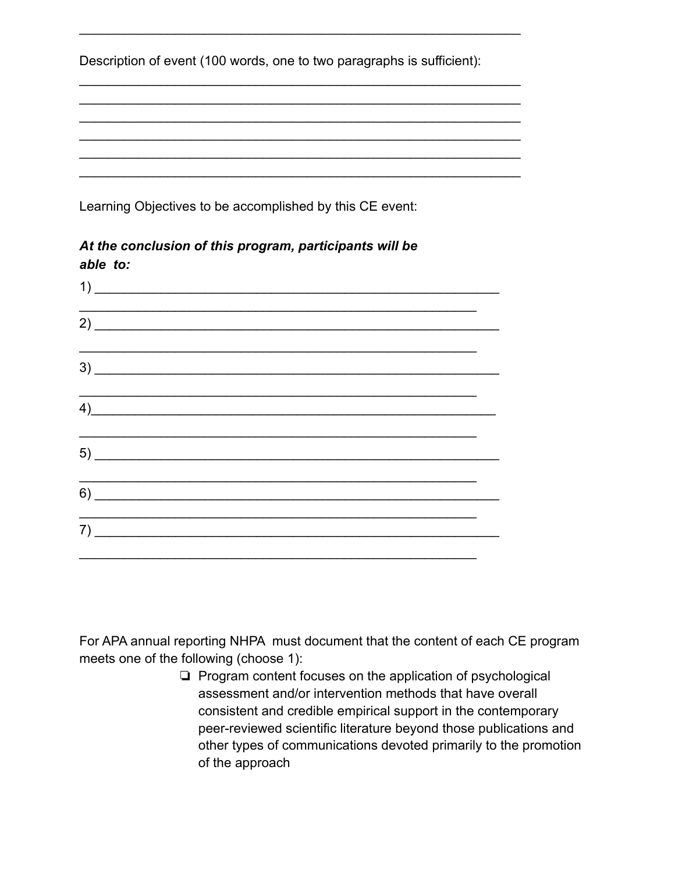|  | Description of event (100 words, one to two paragraphs is sufficient): |  |  |  |  |
|--|------------------------------------------------------------------------|--|--|--|--|
|  |                                                                        |  |  |  |  |

 $\mathcal{L}_\text{max} = \mathcal{L}_\text{max} = \mathcal{L}_\text{max} = \mathcal{L}_\text{max} = \mathcal{L}_\text{max} = \mathcal{L}_\text{max} = \mathcal{L}_\text{max} = \mathcal{L}_\text{max} = \mathcal{L}_\text{max} = \mathcal{L}_\text{max} = \mathcal{L}_\text{max} = \mathcal{L}_\text{max} = \mathcal{L}_\text{max} = \mathcal{L}_\text{max} = \mathcal{L}_\text{max} = \mathcal{L}_\text{max} = \mathcal{L}_\text{max} = \mathcal{L}_\text{max} = \mathcal{$ 

 $\mathcal{L}_\text{max} = \mathcal{L}_\text{max} = \mathcal{L}_\text{max} = \mathcal{L}_\text{max} = \mathcal{L}_\text{max} = \mathcal{L}_\text{max} = \mathcal{L}_\text{max} = \mathcal{L}_\text{max} = \mathcal{L}_\text{max} = \mathcal{L}_\text{max} = \mathcal{L}_\text{max} = \mathcal{L}_\text{max} = \mathcal{L}_\text{max} = \mathcal{L}_\text{max} = \mathcal{L}_\text{max} = \mathcal{L}_\text{max} = \mathcal{L}_\text{max} = \mathcal{L}_\text{max} = \mathcal{$  $\mathcal{L}_\text{max} = \mathcal{L}_\text{max} = \mathcal{L}_\text{max} = \mathcal{L}_\text{max} = \mathcal{L}_\text{max} = \mathcal{L}_\text{max} = \mathcal{L}_\text{max} = \mathcal{L}_\text{max} = \mathcal{L}_\text{max} = \mathcal{L}_\text{max} = \mathcal{L}_\text{max} = \mathcal{L}_\text{max} = \mathcal{L}_\text{max} = \mathcal{L}_\text{max} = \mathcal{L}_\text{max} = \mathcal{L}_\text{max} = \mathcal{L}_\text{max} = \mathcal{L}_\text{max} = \mathcal{$  $\mathcal{L}_\text{max} = \mathcal{L}_\text{max} = \mathcal{L}_\text{max} = \mathcal{L}_\text{max} = \mathcal{L}_\text{max} = \mathcal{L}_\text{max} = \mathcal{L}_\text{max} = \mathcal{L}_\text{max} = \mathcal{L}_\text{max} = \mathcal{L}_\text{max} = \mathcal{L}_\text{max} = \mathcal{L}_\text{max} = \mathcal{L}_\text{max} = \mathcal{L}_\text{max} = \mathcal{L}_\text{max} = \mathcal{L}_\text{max} = \mathcal{L}_\text{max} = \mathcal{L}_\text{max} = \mathcal{$  $\mathcal{L}_\text{max} = \mathcal{L}_\text{max} = \mathcal{L}_\text{max} = \mathcal{L}_\text{max} = \mathcal{L}_\text{max} = \mathcal{L}_\text{max} = \mathcal{L}_\text{max} = \mathcal{L}_\text{max} = \mathcal{L}_\text{max} = \mathcal{L}_\text{max} = \mathcal{L}_\text{max} = \mathcal{L}_\text{max} = \mathcal{L}_\text{max} = \mathcal{L}_\text{max} = \mathcal{L}_\text{max} = \mathcal{L}_\text{max} = \mathcal{L}_\text{max} = \mathcal{L}_\text{max} = \mathcal{$  $\mathcal{L}_\text{max} = \mathcal{L}_\text{max} = \mathcal{L}_\text{max} = \mathcal{L}_\text{max} = \mathcal{L}_\text{max} = \mathcal{L}_\text{max} = \mathcal{L}_\text{max} = \mathcal{L}_\text{max} = \mathcal{L}_\text{max} = \mathcal{L}_\text{max} = \mathcal{L}_\text{max} = \mathcal{L}_\text{max} = \mathcal{L}_\text{max} = \mathcal{L}_\text{max} = \mathcal{L}_\text{max} = \mathcal{L}_\text{max} = \mathcal{L}_\text{max} = \mathcal{L}_\text{max} = \mathcal{$  $\mathcal{L}_\text{max} = \mathcal{L}_\text{max} = \mathcal{L}_\text{max} = \mathcal{L}_\text{max} = \mathcal{L}_\text{max} = \mathcal{L}_\text{max} = \mathcal{L}_\text{max} = \mathcal{L}_\text{max} = \mathcal{L}_\text{max} = \mathcal{L}_\text{max} = \mathcal{L}_\text{max} = \mathcal{L}_\text{max} = \mathcal{L}_\text{max} = \mathcal{L}_\text{max} = \mathcal{L}_\text{max} = \mathcal{L}_\text{max} = \mathcal{L}_\text{max} = \mathcal{L}_\text{max} = \mathcal{$ 

Learning Objectives to be accomplished by this CE event:

| able to:                     |                                                                                                                      |                                                                                  |  |
|------------------------------|----------------------------------------------------------------------------------------------------------------------|----------------------------------------------------------------------------------|--|
| $\overline{1}$ )             |                                                                                                                      |                                                                                  |  |
|                              |                                                                                                                      |                                                                                  |  |
|                              |                                                                                                                      | ,我们也不能会在这里,我们也不能会在这里,我们也不能会在这里,我们也不能会不能会不能会不能会不能会不能会不能会。""我们,我们也不能会不能会不能会不能会不能会不 |  |
| $\left( \frac{4}{2} \right)$ |                                                                                                                      |                                                                                  |  |
|                              |                                                                                                                      |                                                                                  |  |
|                              |                                                                                                                      |                                                                                  |  |
| 7)                           | <u> 1989 - Johann John Stone, mensk politik foar de ferske fan de ferske fan de ferske fan de ferske fan de fers</u> |                                                                                  |  |
|                              |                                                                                                                      |                                                                                  |  |

*At the conclusion of this program, participants will be able to:*

For APA annual reporting NHPA must document that the content of each CE program meets one of the following (choose 1):

> ❏ Program content focuses on the application of psychological assessment and/or intervention methods that have overall consistent and credible empirical support in the contemporary peer-reviewed scientific literature beyond those publications and other types of communications devoted primarily to the promotion of the approach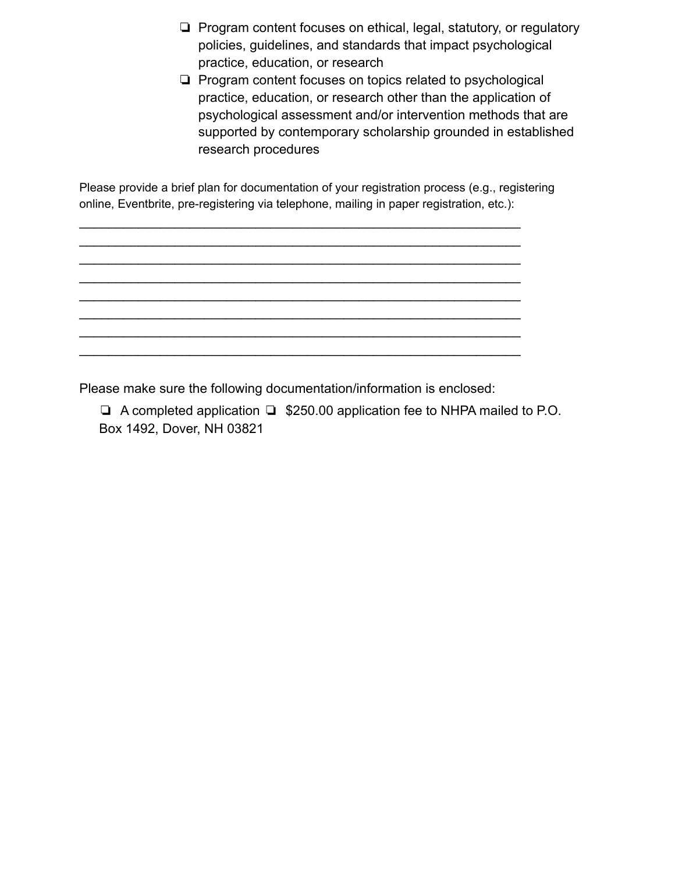- ❏ Program content focuses on ethical, legal, statutory, or regulatory policies, guidelines, and standards that impact psychological practice, education, or research
- ❏ Program content focuses on topics related to psychological practice, education, or research other than the application of psychological assessment and/or intervention methods that are supported by contemporary scholarship grounded in established research procedures

Please provide a brief plan for documentation of your registration process (e.g., registering online, Eventbrite, pre-registering via telephone, mailing in paper registration, etc.):

 $\mathcal{L}_\text{max} = \mathcal{L}_\text{max} = \mathcal{L}_\text{max} = \mathcal{L}_\text{max} = \mathcal{L}_\text{max} = \mathcal{L}_\text{max} = \mathcal{L}_\text{max} = \mathcal{L}_\text{max} = \mathcal{L}_\text{max} = \mathcal{L}_\text{max} = \mathcal{L}_\text{max} = \mathcal{L}_\text{max} = \mathcal{L}_\text{max} = \mathcal{L}_\text{max} = \mathcal{L}_\text{max} = \mathcal{L}_\text{max} = \mathcal{L}_\text{max} = \mathcal{L}_\text{max} = \mathcal{$  $\mathcal{L}_\text{max} = \mathcal{L}_\text{max} = \mathcal{L}_\text{max} = \mathcal{L}_\text{max} = \mathcal{L}_\text{max} = \mathcal{L}_\text{max} = \mathcal{L}_\text{max} = \mathcal{L}_\text{max} = \mathcal{L}_\text{max} = \mathcal{L}_\text{max} = \mathcal{L}_\text{max} = \mathcal{L}_\text{max} = \mathcal{L}_\text{max} = \mathcal{L}_\text{max} = \mathcal{L}_\text{max} = \mathcal{L}_\text{max} = \mathcal{L}_\text{max} = \mathcal{L}_\text{max} = \mathcal{$  $\mathcal{L}_\text{max} = \mathcal{L}_\text{max} = \mathcal{L}_\text{max} = \mathcal{L}_\text{max} = \mathcal{L}_\text{max} = \mathcal{L}_\text{max} = \mathcal{L}_\text{max} = \mathcal{L}_\text{max} = \mathcal{L}_\text{max} = \mathcal{L}_\text{max} = \mathcal{L}_\text{max} = \mathcal{L}_\text{max} = \mathcal{L}_\text{max} = \mathcal{L}_\text{max} = \mathcal{L}_\text{max} = \mathcal{L}_\text{max} = \mathcal{L}_\text{max} = \mathcal{L}_\text{max} = \mathcal{$  $\mathcal{L}_\text{max} = \mathcal{L}_\text{max} = \mathcal{L}_\text{max} = \mathcal{L}_\text{max} = \mathcal{L}_\text{max} = \mathcal{L}_\text{max} = \mathcal{L}_\text{max} = \mathcal{L}_\text{max} = \mathcal{L}_\text{max} = \mathcal{L}_\text{max} = \mathcal{L}_\text{max} = \mathcal{L}_\text{max} = \mathcal{L}_\text{max} = \mathcal{L}_\text{max} = \mathcal{L}_\text{max} = \mathcal{L}_\text{max} = \mathcal{L}_\text{max} = \mathcal{L}_\text{max} = \mathcal{$  $\mathcal{L}_\text{max} = \mathcal{L}_\text{max} = \mathcal{L}_\text{max} = \mathcal{L}_\text{max} = \mathcal{L}_\text{max} = \mathcal{L}_\text{max} = \mathcal{L}_\text{max} = \mathcal{L}_\text{max} = \mathcal{L}_\text{max} = \mathcal{L}_\text{max} = \mathcal{L}_\text{max} = \mathcal{L}_\text{max} = \mathcal{L}_\text{max} = \mathcal{L}_\text{max} = \mathcal{L}_\text{max} = \mathcal{L}_\text{max} = \mathcal{L}_\text{max} = \mathcal{L}_\text{max} = \mathcal{$  $\mathcal{L}_\text{max} = \mathcal{L}_\text{max} = \mathcal{L}_\text{max} = \mathcal{L}_\text{max} = \mathcal{L}_\text{max} = \mathcal{L}_\text{max} = \mathcal{L}_\text{max} = \mathcal{L}_\text{max} = \mathcal{L}_\text{max} = \mathcal{L}_\text{max} = \mathcal{L}_\text{max} = \mathcal{L}_\text{max} = \mathcal{L}_\text{max} = \mathcal{L}_\text{max} = \mathcal{L}_\text{max} = \mathcal{L}_\text{max} = \mathcal{L}_\text{max} = \mathcal{L}_\text{max} = \mathcal{$  $\mathcal{L}_\text{max} = \mathcal{L}_\text{max} = \mathcal{L}_\text{max} = \mathcal{L}_\text{max} = \mathcal{L}_\text{max} = \mathcal{L}_\text{max} = \mathcal{L}_\text{max} = \mathcal{L}_\text{max} = \mathcal{L}_\text{max} = \mathcal{L}_\text{max} = \mathcal{L}_\text{max} = \mathcal{L}_\text{max} = \mathcal{L}_\text{max} = \mathcal{L}_\text{max} = \mathcal{L}_\text{max} = \mathcal{L}_\text{max} = \mathcal{L}_\text{max} = \mathcal{L}_\text{max} = \mathcal{$  $\mathcal{L}_\text{max} = \mathcal{L}_\text{max} = \mathcal{L}_\text{max} = \mathcal{L}_\text{max} = \mathcal{L}_\text{max} = \mathcal{L}_\text{max} = \mathcal{L}_\text{max} = \mathcal{L}_\text{max} = \mathcal{L}_\text{max} = \mathcal{L}_\text{max} = \mathcal{L}_\text{max} = \mathcal{L}_\text{max} = \mathcal{L}_\text{max} = \mathcal{L}_\text{max} = \mathcal{L}_\text{max} = \mathcal{L}_\text{max} = \mathcal{L}_\text{max} = \mathcal{L}_\text{max} = \mathcal{$ 

Please make sure the following documentation/information is enclosed:

❏ A completed application ❏ \$250.00 application fee to NHPA mailed to P.O. Box 1492, Dover, NH 03821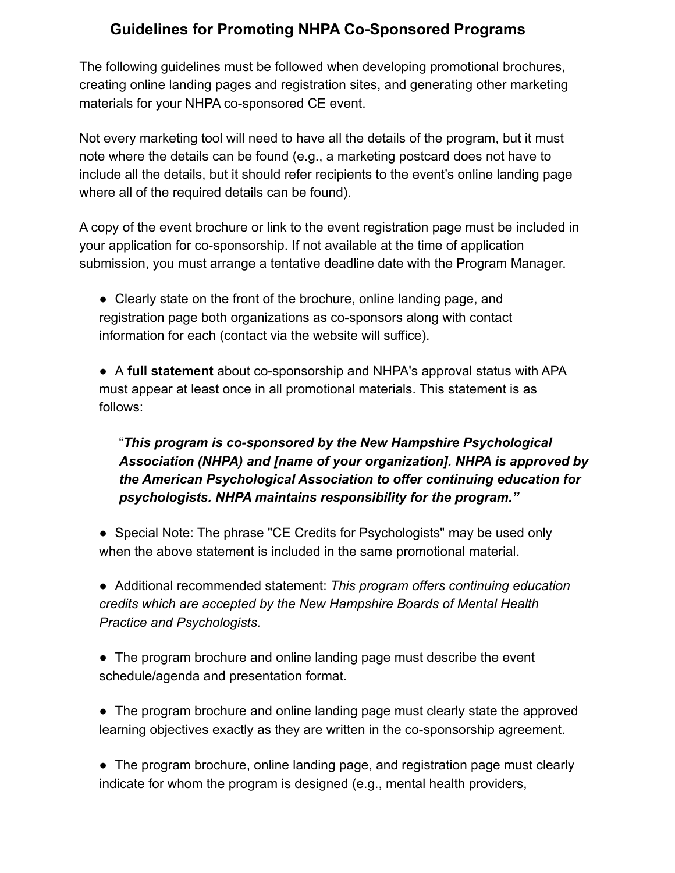## **Guidelines for Promoting NHPA Co-Sponsored Programs**

The following guidelines must be followed when developing promotional brochures, creating online landing pages and registration sites, and generating other marketing materials for your NHPA co-sponsored CE event.

Not every marketing tool will need to have all the details of the program, but it must note where the details can be found (e.g., a marketing postcard does not have to include all the details, but it should refer recipients to the event's online landing page where all of the required details can be found).

A copy of the event brochure or link to the event registration page must be included in your application for co-sponsorship. If not available at the time of application submission, you must arrange a tentative deadline date with the Program Manager.

• Clearly state on the front of the brochure, online landing page, and registration page both organizations as co-sponsors along with contact information for each (contact via the website will suffice).

● A **full statement** about co-sponsorship and NHPA's approval status with APA must appear at least once in all promotional materials. This statement is as follows:

## "*This program is co-sponsored by the New Hampshire Psychological Association (NHPA) and [name of your organization]. NHPA is approved by the American Psychological Association to offer continuing education for psychologists. NHPA maintains responsibility for the program."*

• Special Note: The phrase "CE Credits for Psychologists" may be used only when the above statement is included in the same promotional material.

● Additional recommended statement: *This program offers continuing education credits which are accepted by the New Hampshire Boards of Mental Health Practice and Psychologists.*

- The program brochure and online landing page must describe the event schedule/agenda and presentation format.
- The program brochure and online landing page must clearly state the approved learning objectives exactly as they are written in the co-sponsorship agreement.

• The program brochure, online landing page, and registration page must clearly indicate for whom the program is designed (e.g., mental health providers,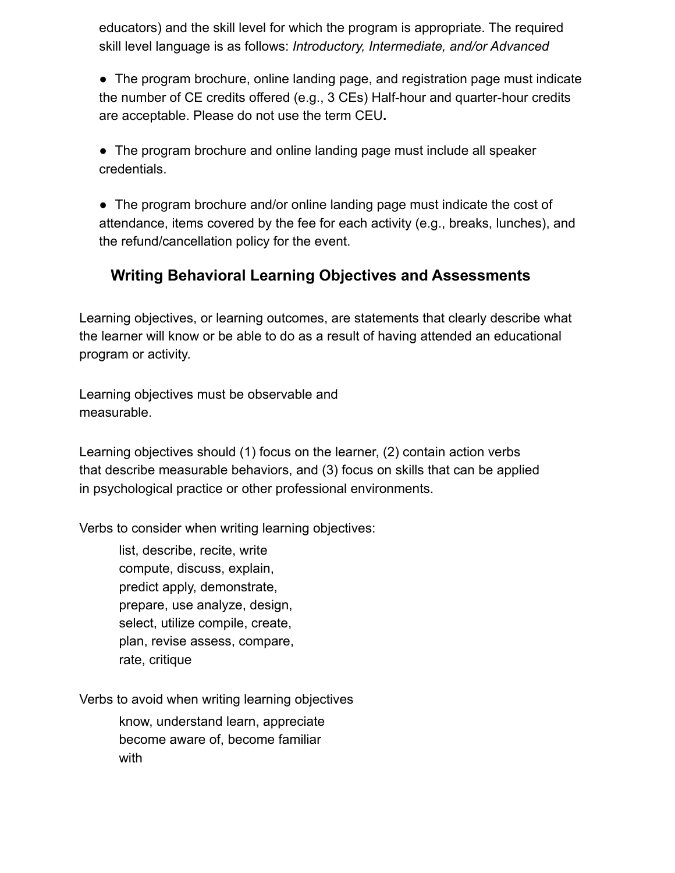educators) and the skill level for which the program is appropriate. The required skill level language is as follows: *Introductory, Intermediate, and/or Advanced*

• The program brochure, online landing page, and registration page must indicate the number of CE credits offered (e.g., 3 CEs) Half-hour and quarter-hour credits are acceptable. Please do not use the term CEU**.**

• The program brochure and online landing page must include all speaker credentials.

• The program brochure and/or online landing page must indicate the cost of attendance, items covered by the fee for each activity (e.g., breaks, lunches), and the refund/cancellation policy for the event.

# **Writing Behavioral Learning Objectives and Assessments**

Learning objectives, or learning outcomes, are statements that clearly describe what the learner will know or be able to do as a result of having attended an educational program or activity.

Learning objectives must be observable and measurable.

Learning objectives should (1) focus on the learner, (2) contain action verbs that describe measurable behaviors, and (3) focus on skills that can be applied in psychological practice or other professional environments.

Verbs to consider when writing learning objectives:

list, describe, recite, write compute, discuss, explain, predict apply, demonstrate, prepare, use analyze, design, select, utilize compile, create, plan, revise assess, compare, rate, critique

Verbs to avoid when writing learning objectives

know, understand learn, appreciate become aware of, become familiar with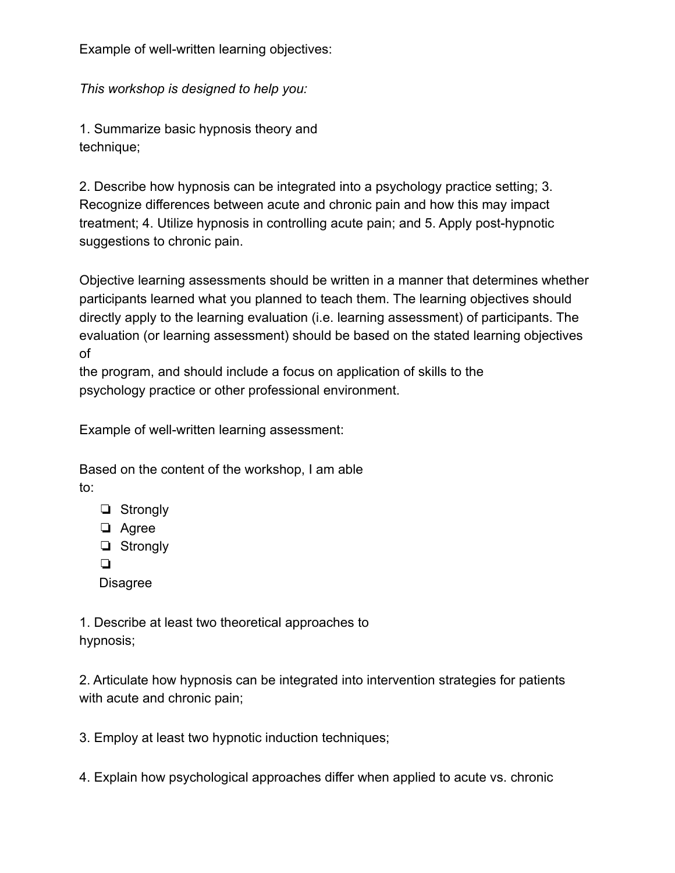Example of well-written learning objectives:

*This workshop is designed to help you:*

1. Summarize basic hypnosis theory and technique;

2. Describe how hypnosis can be integrated into a psychology practice setting; 3. Recognize differences between acute and chronic pain and how this may impact treatment; 4. Utilize hypnosis in controlling acute pain; and 5. Apply post-hypnotic suggestions to chronic pain.

Objective learning assessments should be written in a manner that determines whether participants learned what you planned to teach them. The learning objectives should directly apply to the learning evaluation (i.e. learning assessment) of participants. The evaluation (or learning assessment) should be based on the stated learning objectives of

the program, and should include a focus on application of skills to the psychology practice or other professional environment.

Example of well-written learning assessment:

Based on the content of the workshop, I am able to:

- ❏ Strongly
- ❏ Agree
- ❏ Strongly
- ❏
- **Disagree**

1. Describe at least two theoretical approaches to hypnosis;

2. Articulate how hypnosis can be integrated into intervention strategies for patients with acute and chronic pain;

3. Employ at least two hypnotic induction techniques;

4. Explain how psychological approaches differ when applied to acute vs. chronic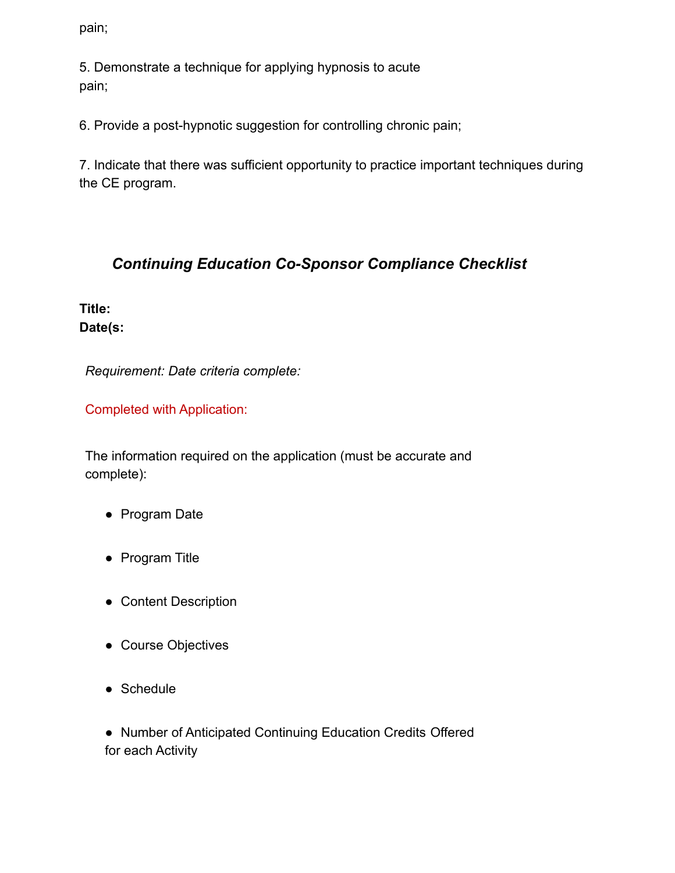pain;

5. Demonstrate a technique for applying hypnosis to acute pain;

6. Provide a post-hypnotic suggestion for controlling chronic pain;

7. Indicate that there was sufficient opportunity to practice important techniques during the CE program.

## *Continuing Education Co-Sponsor Compliance Checklist*

**Title: Date(s:**

*Requirement: Date criteria complete:*

Completed with Application:

The information required on the application (must be accurate and complete):

- Program Date
- Program Title
- Content Description
- Course Objectives
- Schedule

● Number of Anticipated Continuing Education Credits Offered for each Activity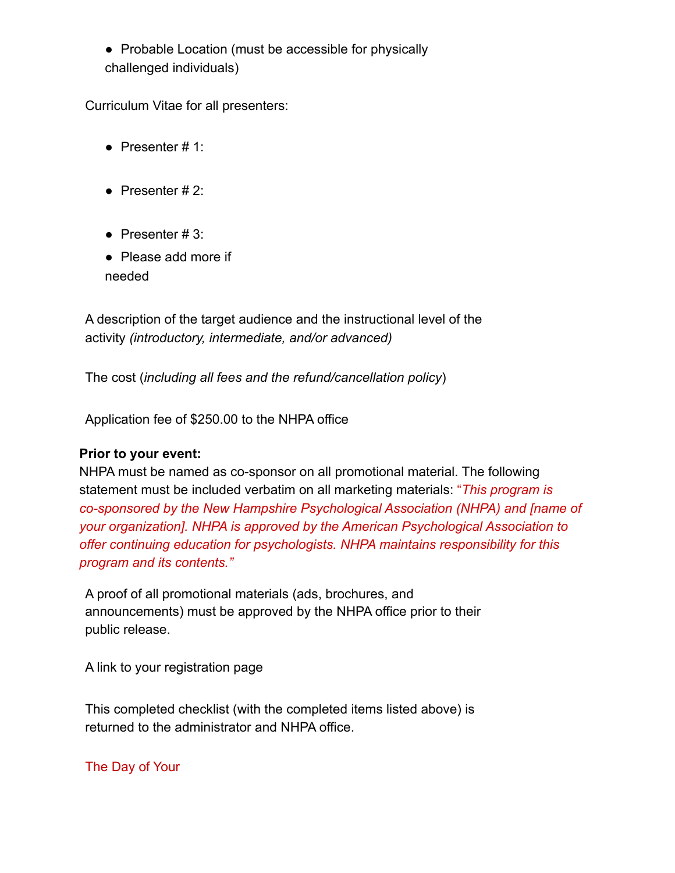● Probable Location (must be accessible for physically challenged individuals)

Curriculum Vitae for all presenters:

- Presenter  $# 1$ :
- Presenter  $#2$ :
- Presenter  $#3$ :
- Please add more if needed

A description of the target audience and the instructional level of the activity *(introductory, intermediate, and/or advanced)*

The cost (*including all fees and the refund/cancellation policy*)

Application fee of \$250.00 to the NHPA office

#### **Prior to your event:**

NHPA must be named as co-sponsor on all promotional material. The following statement must be included verbatim on all marketing materials: "*This program is co-sponsored by the New Hampshire Psychological Association (NHPA) and [name of your organization]. NHPA is approved by the American Psychological Association to offer continuing education for psychologists. NHPA maintains responsibility for this program and its contents."*

A proof of all promotional materials (ads, brochures, and announcements) must be approved by the NHPA office prior to their public release.

A link to your registration page

This completed checklist (with the completed items listed above) is returned to the administrator and NHPA office.

#### The Day of Your